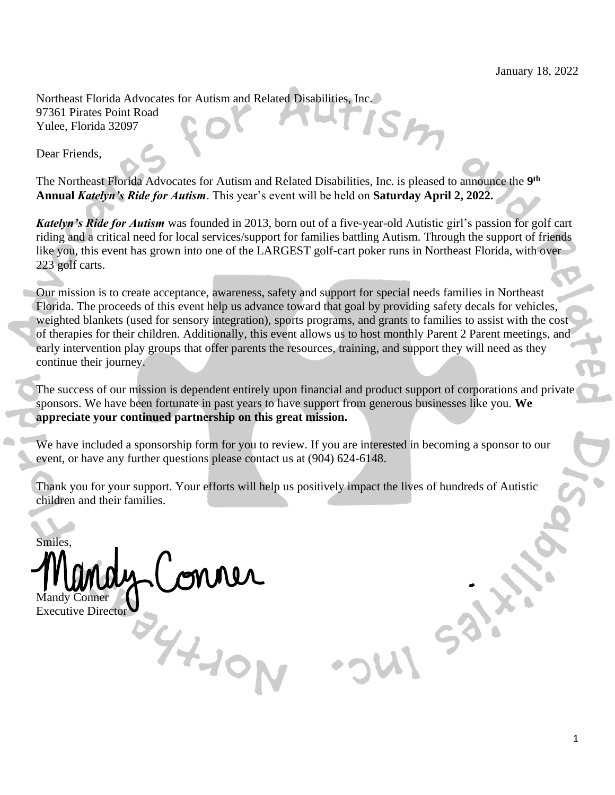Northeast Florida Advocates for Autism and Related Disabilities, Inc. 97361 Pirates Point Road Yulee, Florida 32097

Dear Friends,

The Northeast Florida Advocates for Autism and Related Disabilities, Inc. is pleased to announce the **9 th Annual** *Katelyn's Ride for Autism*. This year's event will be held on **Saturday April 2, 2022.** 

*Katelyn's Ride for Autism* was founded in 2013, born out of a five-year-old Autistic girl's passion for golf cart riding and a critical need for local services/support for families battling Autism. Through the support of friends like you, this event has grown into one of the LARGEST golf-cart poker runs in Northeast Florida, with over 223 golf carts.

Our mission is to create acceptance, awareness, safety and support for special needs families in Northeast Florida. The proceeds of this event help us advance toward that goal by providing safety decals for vehicles, weighted blankets (used for sensory integration), sports programs, and grants to families to assist with the cost of therapies for their children. Additionally, this event allows us to host monthly Parent 2 Parent meetings, and early intervention play groups that offer parents the resources, training, and support they will need as they continue their journey.

The success of our mission is dependent entirely upon financial and product support of corporations and private sponsors. We have been fortunate in past years to have support from generous businesses like you. **We appreciate your continued partnership on this great mission.**

We have included a sponsorship form for you to review. If you are interested in becoming a sponsor to our event, or have any further questions please contact us at (904) 624-6148.

Thank you for your support. Your efforts will help us positively impact the lives of hundreds of Autistic children and their families.

Smiles, Mandy Conner

 $94.10<sub>N</sub>$ 

Executive Director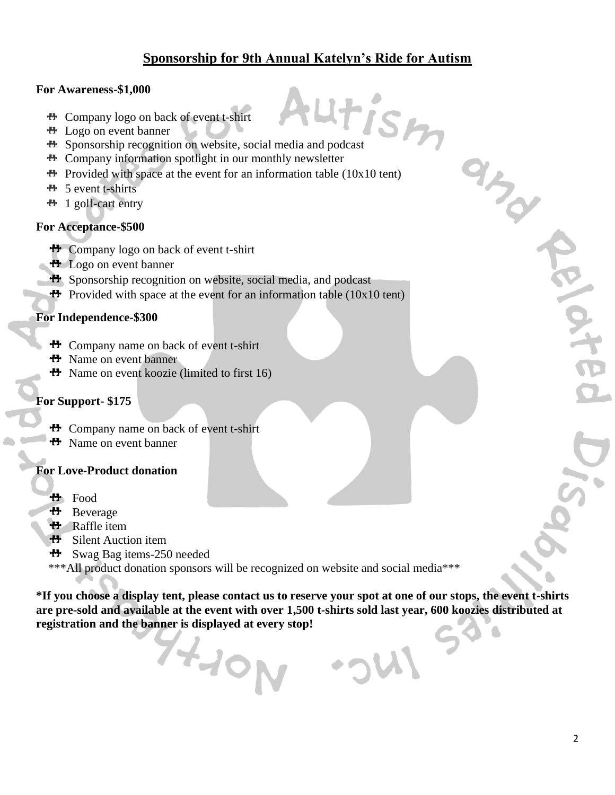# **Sponsorship for 9th Annual Katelyn's Ride for Autism**

#### **For Awareness-\$1,000**

- Company logo on back of event t-shirt
- Logo on event banner
- Sponsorship recognition on website, social media and podcast<br>
Sponsorship recognition on website, social media and podcast
- Company information spotlight in our monthly newsletter
- $\bullet$  Provided with space at the event for an information table (10x10 tent)
- $H_{\text{S}}$  5 event t-shirts
- $H$  1 golf-cart entry

### **For Acceptance-\$500**

- **H** Company logo on back of event t-shirt
- **H** Logo on event banner
- **H** Sponsorship recognition on website, social media, and podcast
- **Provided with space at the event for an information table (10x10 tent)**

#### **For Independence-\$300**

- Company name on back of event t-shirt
- **H** Name on event banner
- $H$  Name on event koozie (limited to first 16)

### **For Support- \$175**

- **H** Company name on back of event t-shirt
- **H** Name on event banner

## **For Love-Product donation**

- **H** Food
- **ተ**ተ Beverage
- Raffle item
- ተ Silent Auction item
- ተተ Swag Bag items-250 needed
- \*\*\*All product donation sponsors will be recognized on website and social media\*\*\*

74-10N

**\*If you choose a display tent, please contact us to reserve your spot at one of our stops, the event t-shirts are pre-sold and available at the event with over 1,500 t-shirts sold last year, 600 koozies distributed at registration and the banner is displayed at every stop!**

ard